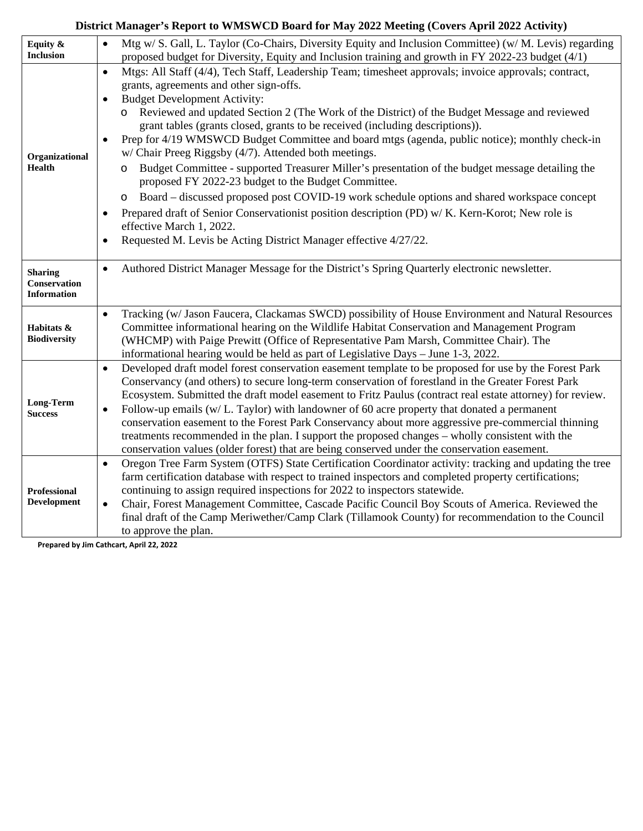## **District Manager's Report to WMSWCD Board for May 2022 Meeting (Covers April 2022 Activity)**

| Equity &<br><b>Inclusion</b>              | Mtg w/ S. Gall, L. Taylor (Co-Chairs, Diversity Equity and Inclusion Committee) (w/ M. Levis) regarding<br>$\bullet$<br>proposed budget for Diversity, Equity and Inclusion training and growth in FY 2022-23 budget (4/1) |
|-------------------------------------------|----------------------------------------------------------------------------------------------------------------------------------------------------------------------------------------------------------------------------|
|                                           | Mtgs: All Staff (4/4), Tech Staff, Leadership Team; timesheet approvals; invoice approvals; contract,<br>$\bullet$                                                                                                         |
| Organizational<br><b>Health</b>           | grants, agreements and other sign-offs.                                                                                                                                                                                    |
|                                           | <b>Budget Development Activity:</b><br>$\bullet$                                                                                                                                                                           |
|                                           | o Reviewed and updated Section 2 (The Work of the District) of the Budget Message and reviewed                                                                                                                             |
|                                           | grant tables (grants closed, grants to be received (including descriptions)).                                                                                                                                              |
|                                           | Prep for 4/19 WMSWCD Budget Committee and board mtgs (agenda, public notice); monthly check-in<br>$\bullet$                                                                                                                |
|                                           | w/ Chair Preeg Riggsby (4/7). Attended both meetings.                                                                                                                                                                      |
|                                           | Budget Committee - supported Treasurer Miller's presentation of the budget message detailing the<br>O<br>proposed FY 2022-23 budget to the Budget Committee.                                                               |
|                                           | Board – discussed proposed post COVID-19 work schedule options and shared workspace concept<br>O                                                                                                                           |
|                                           | Prepared draft of Senior Conservationist position description (PD) w/ K. Kern-Korot; New role is<br>$\bullet$                                                                                                              |
|                                           | effective March 1, 2022.                                                                                                                                                                                                   |
|                                           | Requested M. Levis be Acting District Manager effective 4/27/22.<br>$\bullet$                                                                                                                                              |
| <b>Sharing</b>                            | Authored District Manager Message for the District's Spring Quarterly electronic newsletter.<br>$\bullet$                                                                                                                  |
| <b>Conservation</b><br><b>Information</b> |                                                                                                                                                                                                                            |
|                                           | Tracking (w/ Jason Faucera, Clackamas SWCD) possibility of House Environment and Natural Resources<br>$\bullet$                                                                                                            |
| Habitats &                                | Committee informational hearing on the Wildlife Habitat Conservation and Management Program                                                                                                                                |
| <b>Biodiversity</b>                       | (WHCMP) with Paige Prewitt (Office of Representative Pam Marsh, Committee Chair). The                                                                                                                                      |
|                                           | informational hearing would be held as part of Legislative Days - June 1-3, 2022.                                                                                                                                          |
| Long-Term<br><b>Success</b>               | Developed draft model forest conservation easement template to be proposed for use by the Forest Park<br>$\bullet$                                                                                                         |
|                                           | Conservancy (and others) to secure long-term conservation of forestland in the Greater Forest Park                                                                                                                         |
|                                           | Ecosystem. Submitted the draft model easement to Fritz Paulus (contract real estate attorney) for review.                                                                                                                  |
|                                           | Follow-up emails (w/L. Taylor) with landowner of 60 acre property that donated a permanent<br>$\bullet$<br>conservation easement to the Forest Park Conservancy about more aggressive pre-commercial thinning              |
|                                           | treatments recommended in the plan. I support the proposed changes - wholly consistent with the                                                                                                                            |
|                                           | conservation values (older forest) that are being conserved under the conservation easement.                                                                                                                               |
|                                           | Oregon Tree Farm System (OTFS) State Certification Coordinator activity: tracking and updating the tree<br>$\bullet$                                                                                                       |
|                                           | farm certification database with respect to trained inspectors and completed property certifications;                                                                                                                      |
| <b>Professional</b>                       | continuing to assign required inspections for 2022 to inspectors statewide.                                                                                                                                                |
| Development                               | Chair, Forest Management Committee, Cascade Pacific Council Boy Scouts of America. Reviewed the<br>$\bullet$                                                                                                               |
|                                           | final draft of the Camp Meriwether/Camp Clark (Tillamook County) for recommendation to the Council                                                                                                                         |
|                                           | to approve the plan.                                                                                                                                                                                                       |

**Prepared by Jim Cathcart, April 22, 2022**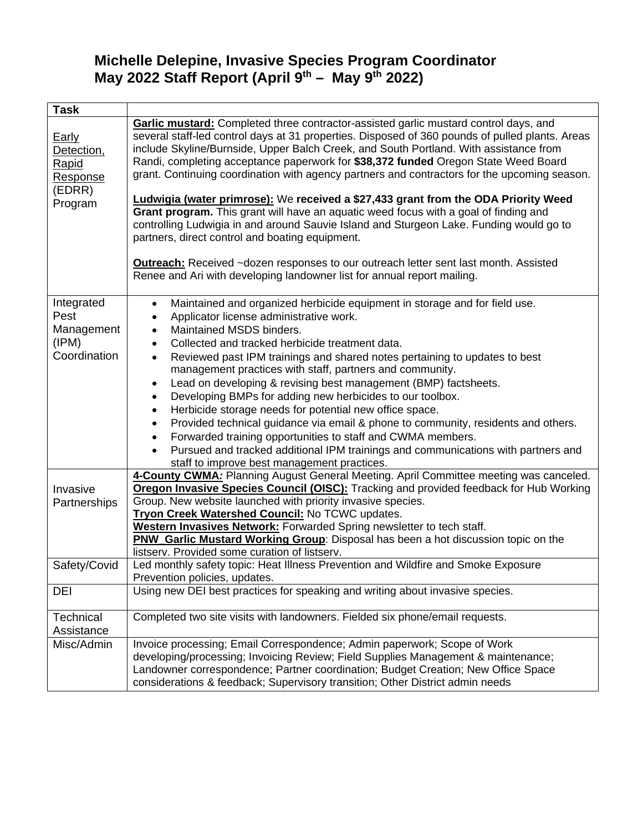# **Michelle Delepine, Invasive Species Program Coordinator May 2022 Staff Report (April 9th – May 9th 2022)**

| <b>Task</b>                                                          |                                                                                                                                                                                                                                                                                                                                                                                                                                                                                                                                                                                                                                                                                                                                                                                                                                                                                                                                                                                            |
|----------------------------------------------------------------------|--------------------------------------------------------------------------------------------------------------------------------------------------------------------------------------------------------------------------------------------------------------------------------------------------------------------------------------------------------------------------------------------------------------------------------------------------------------------------------------------------------------------------------------------------------------------------------------------------------------------------------------------------------------------------------------------------------------------------------------------------------------------------------------------------------------------------------------------------------------------------------------------------------------------------------------------------------------------------------------------|
| <b>Early</b><br>Detection,<br>Rapid<br>Response<br>(EDRR)<br>Program | <b>Garlic mustard:</b> Completed three contractor-assisted garlic mustard control days, and<br>several staff-led control days at 31 properties. Disposed of 360 pounds of pulled plants. Areas<br>include Skyline/Burnside, Upper Balch Creek, and South Portland. With assistance from<br>Randi, completing acceptance paperwork for \$38,372 funded Oregon State Weed Board<br>grant. Continuing coordination with agency partners and contractors for the upcoming season.<br><b>Ludwigia (water primrose):</b> We received a \$27,433 grant from the ODA Priority Weed<br>Grant program. This grant will have an aquatic weed focus with a goal of finding and<br>controlling Ludwigia in and around Sauvie Island and Sturgeon Lake. Funding would go to<br>partners, direct control and boating equipment.<br><b>Outreach:</b> Received ~dozen responses to our outreach letter sent last month. Assisted<br>Renee and Ari with developing landowner list for annual report mailing. |
| Integrated<br>Pest<br>Management<br>(IPM)<br>Coordination            | Maintained and organized herbicide equipment in storage and for field use.<br>$\bullet$<br>Applicator license administrative work.<br>$\bullet$<br>Maintained MSDS binders.<br>$\bullet$<br>Collected and tracked herbicide treatment data.<br>$\bullet$<br>Reviewed past IPM trainings and shared notes pertaining to updates to best<br>$\bullet$<br>management practices with staff, partners and community.<br>Lead on developing & revising best management (BMP) factsheets.<br>$\bullet$<br>Developing BMPs for adding new herbicides to our toolbox.<br>$\bullet$<br>Herbicide storage needs for potential new office space.<br>$\bullet$<br>Provided technical guidance via email & phone to community, residents and others.<br>$\bullet$<br>Forwarded training opportunities to staff and CWMA members.<br>$\bullet$<br>Pursued and tracked additional IPM trainings and communications with partners and<br>$\bullet$<br>staff to improve best management practices.           |
| Invasive<br>Partnerships<br>Safety/Covid                             | 4-County CWMA: Planning August General Meeting. April Committee meeting was canceled.<br>Oregon Invasive Species Council (OISC): Tracking and provided feedback for Hub Working<br>Group. New website launched with priority invasive species.<br>Tryon Creek Watershed Council: No TCWC updates.<br>Western Invasives Network: Forwarded Spring newsletter to tech staff.<br><b>PNW Garlic Mustard Working Group:</b> Disposal has been a hot discussion topic on the<br>listserv. Provided some curation of listserv.<br>Led monthly safety topic: Heat Illness Prevention and Wildfire and Smoke Exposure                                                                                                                                                                                                                                                                                                                                                                               |
| <b>DEI</b>                                                           | Prevention policies, updates.<br>Using new DEI best practices for speaking and writing about invasive species.                                                                                                                                                                                                                                                                                                                                                                                                                                                                                                                                                                                                                                                                                                                                                                                                                                                                             |
|                                                                      |                                                                                                                                                                                                                                                                                                                                                                                                                                                                                                                                                                                                                                                                                                                                                                                                                                                                                                                                                                                            |
| <b>Technical</b><br>Assistance                                       | Completed two site visits with landowners. Fielded six phone/email requests.                                                                                                                                                                                                                                                                                                                                                                                                                                                                                                                                                                                                                                                                                                                                                                                                                                                                                                               |
| Misc/Admin                                                           | Invoice processing; Email Correspondence; Admin paperwork; Scope of Work<br>developing/processing; Invoicing Review; Field Supplies Management & maintenance;<br>Landowner correspondence; Partner coordination; Budget Creation; New Office Space<br>considerations & feedback; Supervisory transition; Other District admin needs                                                                                                                                                                                                                                                                                                                                                                                                                                                                                                                                                                                                                                                        |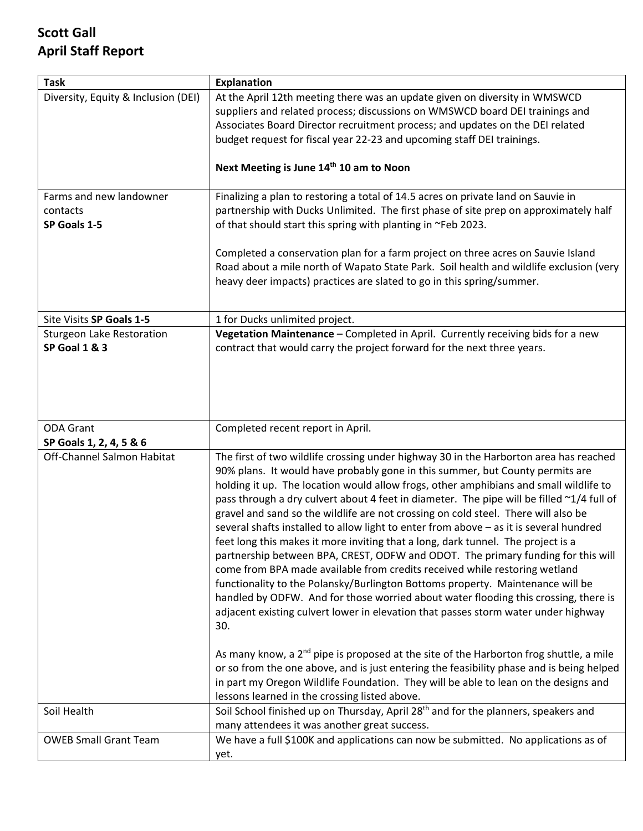# **Scott Gall April Staff Report**

| <b>Task</b>                                         | <b>Explanation</b>                                                                                                                                                                                                                                                                                                                                                                                                                                                                                                                                                                                                                                                                                                                                                                                                                                                                                                                                                                                                                                                                                                                                                   |
|-----------------------------------------------------|----------------------------------------------------------------------------------------------------------------------------------------------------------------------------------------------------------------------------------------------------------------------------------------------------------------------------------------------------------------------------------------------------------------------------------------------------------------------------------------------------------------------------------------------------------------------------------------------------------------------------------------------------------------------------------------------------------------------------------------------------------------------------------------------------------------------------------------------------------------------------------------------------------------------------------------------------------------------------------------------------------------------------------------------------------------------------------------------------------------------------------------------------------------------|
| Diversity, Equity & Inclusion (DEI)                 | At the April 12th meeting there was an update given on diversity in WMSWCD<br>suppliers and related process; discussions on WMSWCD board DEI trainings and<br>Associates Board Director recruitment process; and updates on the DEI related<br>budget request for fiscal year 22-23 and upcoming staff DEI trainings.                                                                                                                                                                                                                                                                                                                                                                                                                                                                                                                                                                                                                                                                                                                                                                                                                                                |
|                                                     | Next Meeting is June 14th 10 am to Noon                                                                                                                                                                                                                                                                                                                                                                                                                                                                                                                                                                                                                                                                                                                                                                                                                                                                                                                                                                                                                                                                                                                              |
| Farms and new landowner<br>contacts<br>SP Goals 1-5 | Finalizing a plan to restoring a total of 14.5 acres on private land on Sauvie in<br>partnership with Ducks Unlimited. The first phase of site prep on approximately half<br>of that should start this spring with planting in ~Feb 2023.                                                                                                                                                                                                                                                                                                                                                                                                                                                                                                                                                                                                                                                                                                                                                                                                                                                                                                                            |
|                                                     | Completed a conservation plan for a farm project on three acres on Sauvie Island<br>Road about a mile north of Wapato State Park. Soil health and wildlife exclusion (very<br>heavy deer impacts) practices are slated to go in this spring/summer.                                                                                                                                                                                                                                                                                                                                                                                                                                                                                                                                                                                                                                                                                                                                                                                                                                                                                                                  |
| Site Visits SP Goals 1-5                            | 1 for Ducks unlimited project.                                                                                                                                                                                                                                                                                                                                                                                                                                                                                                                                                                                                                                                                                                                                                                                                                                                                                                                                                                                                                                                                                                                                       |
| <b>Sturgeon Lake Restoration</b><br>SP Goal 1 & 3   | Vegetation Maintenance - Completed in April. Currently receiving bids for a new<br>contract that would carry the project forward for the next three years.                                                                                                                                                                                                                                                                                                                                                                                                                                                                                                                                                                                                                                                                                                                                                                                                                                                                                                                                                                                                           |
| <b>ODA Grant</b><br>SP Goals 1, 2, 4, 5 & 6         | Completed recent report in April.                                                                                                                                                                                                                                                                                                                                                                                                                                                                                                                                                                                                                                                                                                                                                                                                                                                                                                                                                                                                                                                                                                                                    |
|                                                     |                                                                                                                                                                                                                                                                                                                                                                                                                                                                                                                                                                                                                                                                                                                                                                                                                                                                                                                                                                                                                                                                                                                                                                      |
| Off-Channel Salmon Habitat                          | The first of two wildlife crossing under highway 30 in the Harborton area has reached<br>90% plans. It would have probably gone in this summer, but County permits are<br>holding it up. The location would allow frogs, other amphibians and small wildlife to<br>pass through a dry culvert about 4 feet in diameter. The pipe will be filled ~1/4 full of<br>gravel and sand so the wildlife are not crossing on cold steel. There will also be<br>several shafts installed to allow light to enter from above - as it is several hundred<br>feet long this makes it more inviting that a long, dark tunnel. The project is a<br>partnership between BPA, CREST, ODFW and ODOT. The primary funding for this will<br>come from BPA made available from credits received while restoring wetland<br>functionality to the Polansky/Burlington Bottoms property. Maintenance will be<br>handled by ODFW. And for those worried about water flooding this crossing, there is<br>adjacent existing culvert lower in elevation that passes storm water under highway<br>30.<br>As many know, a $2nd$ pipe is proposed at the site of the Harborton frog shuttle, a mile |
|                                                     | or so from the one above, and is just entering the feasibility phase and is being helped<br>in part my Oregon Wildlife Foundation. They will be able to lean on the designs and<br>lessons learned in the crossing listed above.                                                                                                                                                                                                                                                                                                                                                                                                                                                                                                                                                                                                                                                                                                                                                                                                                                                                                                                                     |
| Soil Health                                         | Soil School finished up on Thursday, April 28 <sup>th</sup> and for the planners, speakers and<br>many attendees it was another great success.                                                                                                                                                                                                                                                                                                                                                                                                                                                                                                                                                                                                                                                                                                                                                                                                                                                                                                                                                                                                                       |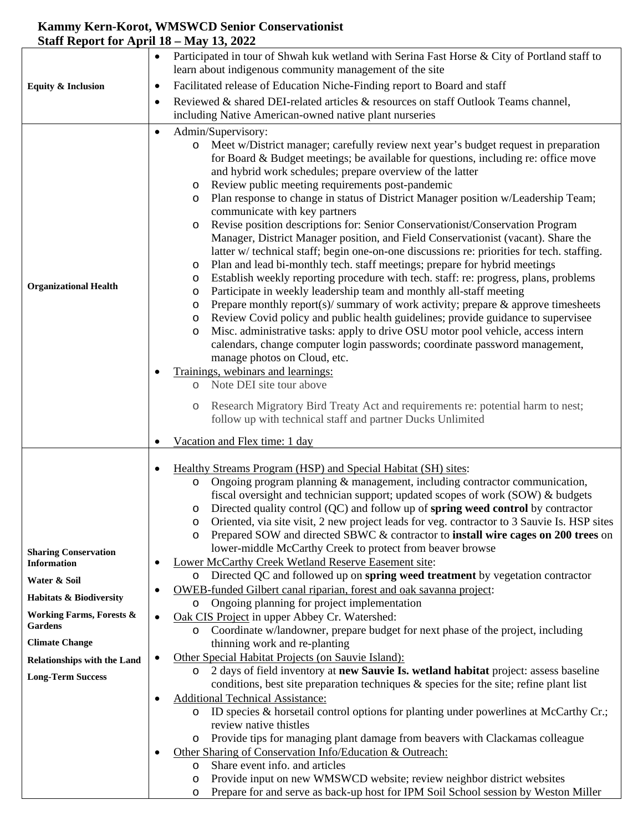## **Kammy Kern-Korot, WMSWCD Senior Conservationist Staff Report for April 18 – May 13, 2022**

|                                     | Participated in tour of Shwah kuk wetland with Serina Fast Horse & City of Portland staff to<br>$\bullet$                                                                            |
|-------------------------------------|--------------------------------------------------------------------------------------------------------------------------------------------------------------------------------------|
|                                     | learn about indigenous community management of the site                                                                                                                              |
| <b>Equity &amp; Inclusion</b>       | Facilitated release of Education Niche-Finding report to Board and staff<br>٠                                                                                                        |
|                                     | Reviewed & shared DEI-related articles & resources on staff Outlook Teams channel,<br>٠                                                                                              |
|                                     | including Native American-owned native plant nurseries                                                                                                                               |
|                                     | Admin/Supervisory:<br>٠                                                                                                                                                              |
|                                     | Meet w/District manager; carefully review next year's budget request in preparation<br>$\circ$<br>for Board & Budget meetings; be available for questions, including re: office move |
|                                     | and hybrid work schedules; prepare overview of the latter                                                                                                                            |
|                                     | Review public meeting requirements post-pandemic<br>O                                                                                                                                |
|                                     | Plan response to change in status of District Manager position w/Leadership Team;<br>O                                                                                               |
|                                     | communicate with key partners                                                                                                                                                        |
|                                     | Revise position descriptions for: Senior Conservationist/Conservation Program<br>O                                                                                                   |
|                                     | Manager, District Manager position, and Field Conservationist (vacant). Share the                                                                                                    |
|                                     | latter w/ technical staff; begin one-on-one discussions re: priorities for tech. staffing.                                                                                           |
|                                     | Plan and lead bi-monthly tech. staff meetings; prepare for hybrid meetings<br>O<br>Establish weekly reporting procedure with tech. staff: re: progress, plans, problems<br>O         |
| <b>Organizational Health</b>        | Participate in weekly leadership team and monthly all-staff meeting<br>O                                                                                                             |
|                                     | Prepare monthly report(s)/ summary of work activity; prepare $\&$ approve timesheets<br>O                                                                                            |
|                                     | Review Covid policy and public health guidelines; provide guidance to supervisee<br>O                                                                                                |
|                                     | Misc. administrative tasks: apply to drive OSU motor pool vehicle, access intern<br>O                                                                                                |
|                                     | calendars, change computer login passwords; coordinate password management,                                                                                                          |
|                                     | manage photos on Cloud, etc.<br>Trainings, webinars and learnings:                                                                                                                   |
|                                     | Note DEI site tour above<br>$\circ$                                                                                                                                                  |
|                                     |                                                                                                                                                                                      |
|                                     | Research Migratory Bird Treaty Act and requirements re: potential harm to nest;<br>O<br>follow up with technical staff and partner Ducks Unlimited                                   |
|                                     |                                                                                                                                                                                      |
|                                     |                                                                                                                                                                                      |
|                                     | Vacation and Flex time: 1 day                                                                                                                                                        |
|                                     |                                                                                                                                                                                      |
|                                     | Healthy Streams Program (HSP) and Special Habitat (SH) sites:<br>Ongoing program planning & management, including contractor communication,<br>$\circ$                               |
|                                     | fiscal oversight and technician support; updated scopes of work (SOW) & budgets                                                                                                      |
|                                     | Directed quality control (QC) and follow up of <b>spring weed control</b> by contractor<br>O                                                                                         |
|                                     | Oriented, via site visit, 2 new project leads for veg. contractor to 3 Sauvie Is. HSP sites<br>$\circ$                                                                               |
|                                     | Prepared SOW and directed SBWC & contractor to <b>install wire cages on 200 trees</b> on<br>O                                                                                        |
| <b>Sharing Conservation</b>         | lower-middle McCarthy Creek to protect from beaver browse                                                                                                                            |
| <b>Information</b>                  | Lower McCarthy Creek Wetland Reserve Easement site:<br>$\circ$                                                                                                                       |
| Water & Soil                        | Directed QC and followed up on spring weed treatment by vegetation contractor<br>OWEB-funded Gilbert canal riparian, forest and oak savanna project:                                 |
| <b>Habitats &amp; Biodiversity</b>  | Ongoing planning for project implementation<br>O                                                                                                                                     |
| <b>Working Farms, Forests &amp;</b> | Oak CIS Project in upper Abbey Cr. Watershed:<br>$\bullet$                                                                                                                           |
| <b>Gardens</b>                      | o Coordinate w/landowner, prepare budget for next phase of the project, including                                                                                                    |
| <b>Climate Change</b>               | thinning work and re-planting                                                                                                                                                        |
| <b>Relationships with the Land</b>  | Other Special Habitat Projects (on Sauvie Island):<br>٠                                                                                                                              |
| <b>Long-Term Success</b>            | 2 days of field inventory at new Sauvie Is. wetland habitat project: assess baseline<br>O<br>conditions, best site preparation techniques & species for the site; refine plant list  |
|                                     | <b>Additional Technical Assistance:</b><br>٠                                                                                                                                         |
|                                     | ID species & horsetail control options for planting under powerlines at McCarthy Cr.;<br>$\circ$                                                                                     |
|                                     | review native thistles                                                                                                                                                               |
|                                     | Provide tips for managing plant damage from beavers with Clackamas colleague<br>$\circ$                                                                                              |
|                                     | Other Sharing of Conservation Info/Education & Outreach:                                                                                                                             |
|                                     | Share event info. and articles<br>$\circ$<br>Provide input on new WMSWCD website; review neighbor district websites<br>O                                                             |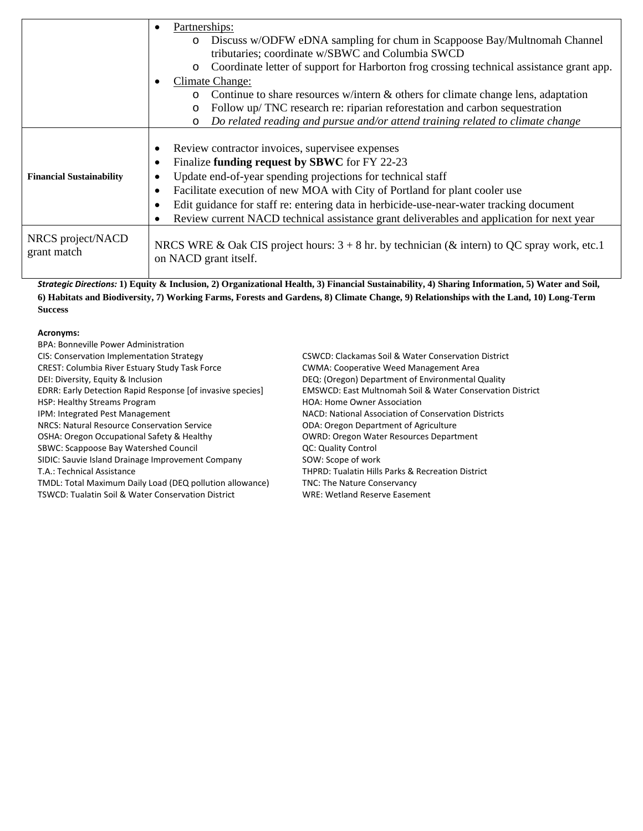|                                  | Partnerships:<br>$\bullet$<br>Discuss w/ODFW eDNA sampling for chum in Scappoose Bay/Multnomah Channel<br>$\circ$<br>tributaries; coordinate w/SBWC and Columbia SWCD<br>Coordinate letter of support for Harborton frog crossing technical assistance grant app.<br>$\circ$<br>Climate Change:<br>Continue to share resources w/intern $\&$ others for climate change lens, adaptation<br>$\circ$                                                 |
|----------------------------------|----------------------------------------------------------------------------------------------------------------------------------------------------------------------------------------------------------------------------------------------------------------------------------------------------------------------------------------------------------------------------------------------------------------------------------------------------|
|                                  | Follow up/ TNC research re: riparian reforestation and carbon sequestration<br>$\circ$<br>Do related reading and pursue and/or attend training related to climate change<br>$\circ$                                                                                                                                                                                                                                                                |
| <b>Financial Sustainability</b>  | Review contractor invoices, supervisee expenses<br>$\bullet$<br>Finalize funding request by SBWC for FY 22-23<br>Update end-of-year spending projections for technical staff<br>Facilitate execution of new MOA with City of Portland for plant cooler use<br>Edit guidance for staff re: entering data in herbicide-use-near-water tracking document<br>Review current NACD technical assistance grant deliverables and application for next year |
| NRCS project/NACD<br>grant match | NRCS WRE & Oak CIS project hours: $3 + 8$ hr. by technician (& intern) to QC spray work, etc.1<br>on NACD grant itself.                                                                                                                                                                                                                                                                                                                            |

*Strategic Directions:* **1) Equity & Inclusion, 2) Organizational Health, 3) Financial Sustainability, 4) Sharing Information, 5) Water and Soil, 6) Habitats and Biodiversity, 7) Working Farms, Forests and Gardens, 8) Climate Change, 9) Relationships with the Land, 10) Long-Term Success** 

#### **Acronyms:**

| BPA: Bonneville Power Administration                       |                                                                      |
|------------------------------------------------------------|----------------------------------------------------------------------|
| CIS: Conservation Implementation Strategy                  | CSWCD: Clackamas Soil & Water Conservation District                  |
| <b>CREST: Columbia River Estuary Study Task Force</b>      | <b>CWMA: Cooperative Weed Management Area</b>                        |
| DEI: Diversity, Equity & Inclusion                         | DEQ: (Oregon) Department of Environmental Quality                    |
| EDRR: Early Detection Rapid Response [of invasive species] | <b>EMSWCD: East Multnomah Soil &amp; Water Conservation District</b> |
| HSP: Healthy Streams Program                               | <b>HOA: Home Owner Association</b>                                   |
| IPM: Integrated Pest Management                            | NACD: National Association of Conservation Districts                 |
| NRCS: Natural Resource Conservation Service                | <b>ODA: Oregon Department of Agriculture</b>                         |
| OSHA: Oregon Occupational Safety & Healthy                 | <b>OWRD: Oregon Water Resources Department</b>                       |
| SBWC: Scappoose Bay Watershed Council                      | <b>QC: Quality Control</b>                                           |
| SIDIC: Sauvie Island Drainage Improvement Company          | SOW: Scope of work                                                   |
| T.A.: Technical Assistance                                 | <b>THPRD: Tualatin Hills Parks &amp; Recreation District</b>         |
| TMDL: Total Maximum Daily Load (DEQ pollution allowance)   | <b>TNC: The Nature Conservancy</b>                                   |
| TSWCD: Tualatin Soil & Water Conservation District         | <b>WRE: Wetland Reserve Easement</b>                                 |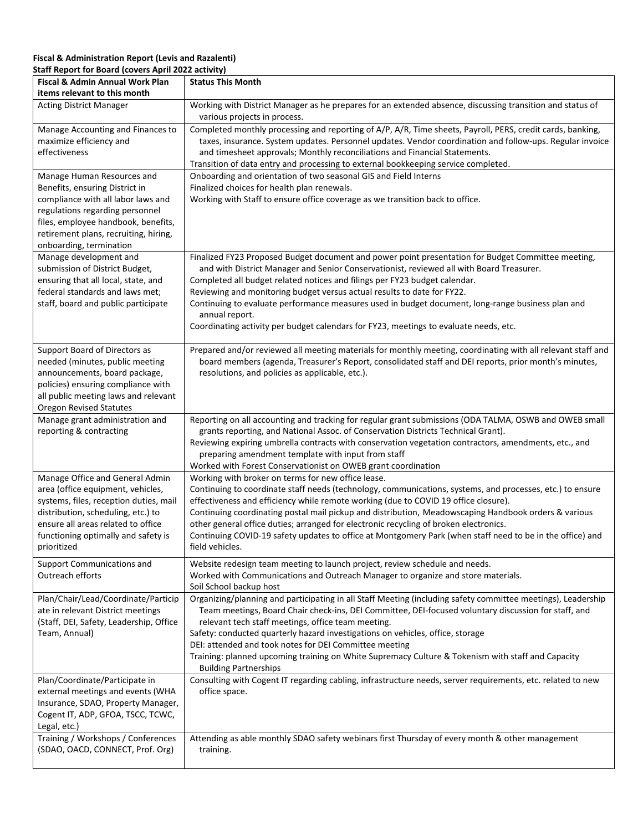#### **Fiscal & Administration Report (Levis and Razalenti) Staff Report for Board (covers April 2022 activity)**

| Fiscal & Admin Annual Work Plan                                                                                                                                                                                                                  | <b>Status This Month</b>                                                                                                                                                                                                                                                                                                                                                                                                                                                                                                                                                                |
|--------------------------------------------------------------------------------------------------------------------------------------------------------------------------------------------------------------------------------------------------|-----------------------------------------------------------------------------------------------------------------------------------------------------------------------------------------------------------------------------------------------------------------------------------------------------------------------------------------------------------------------------------------------------------------------------------------------------------------------------------------------------------------------------------------------------------------------------------------|
| items relevant to this month<br><b>Acting District Manager</b>                                                                                                                                                                                   | Working with District Manager as he prepares for an extended absence, discussing transition and status of                                                                                                                                                                                                                                                                                                                                                                                                                                                                               |
|                                                                                                                                                                                                                                                  | various projects in process.                                                                                                                                                                                                                                                                                                                                                                                                                                                                                                                                                            |
| Manage Accounting and Finances to<br>maximize efficiency and<br>effectiveness                                                                                                                                                                    | Completed monthly processing and reporting of A/P, A/R, Time sheets, Payroll, PERS, credit cards, banking,<br>taxes, insurance. System updates. Personnel updates. Vendor coordination and follow-ups. Regular invoice<br>and timesheet approvals; Monthly reconciliations and Financial Statements.<br>Transition of data entry and processing to external bookkeeping service completed.                                                                                                                                                                                              |
| Manage Human Resources and<br>Benefits, ensuring District in<br>compliance with all labor laws and<br>regulations regarding personnel<br>files, employee handbook, benefits,<br>retirement plans, recruiting, hiring,<br>onboarding, termination | Onboarding and orientation of two seasonal GIS and Field Interns<br>Finalized choices for health plan renewals.<br>Working with Staff to ensure office coverage as we transition back to office.                                                                                                                                                                                                                                                                                                                                                                                        |
| Manage development and<br>submission of District Budget,<br>ensuring that all local, state, and<br>federal standards and laws met;<br>staff, board and public participate                                                                        | Finalized FY23 Proposed Budget document and power point presentation for Budget Committee meeting,<br>and with District Manager and Senior Conservationist, reviewed all with Board Treasurer.<br>Completed all budget related notices and filings per FY23 budget calendar.<br>Reviewing and monitoring budget versus actual results to date for FY22.<br>Continuing to evaluate performance measures used in budget document, long-range business plan and<br>annual report.<br>Coordinating activity per budget calendars for FY23, meetings to evaluate needs, etc.                 |
| Support Board of Directors as<br>needed (minutes, public meeting<br>announcements, board package,<br>policies) ensuring compliance with<br>all public meeting laws and relevant<br><b>Oregon Revised Statutes</b>                                | Prepared and/or reviewed all meeting materials for monthly meeting, coordinating with all relevant staff and<br>board members (agenda, Treasurer's Report, consolidated staff and DEI reports, prior month's minutes,<br>resolutions, and policies as applicable, etc.).                                                                                                                                                                                                                                                                                                                |
| Manage grant administration and<br>reporting & contracting                                                                                                                                                                                       | Reporting on all accounting and tracking for regular grant submissions (ODA TALMA, OSWB and OWEB small<br>grants reporting, and National Assoc. of Conservation Districts Technical Grant).<br>Reviewing expiring umbrella contracts with conservation vegetation contractors, amendments, etc., and<br>preparing amendment template with input from staff<br>Worked with Forest Conservationist on OWEB grant coordination                                                                                                                                                             |
| Manage Office and General Admin<br>area (office equipment, vehicles,<br>systems, files, reception duties, mail<br>distribution, scheduling, etc.) to<br>ensure all areas related to office<br>functioning optimally and safety is<br>prioritized | Working with broker on terms for new office lease.<br>Continuing to coordinate staff needs (technology, communications, systems, and processes, etc.) to ensure<br>effectiveness and efficiency while remote working (due to COVID 19 office closure).<br>Continuing coordinating postal mail pickup and distribution, Meadowscaping Handbook orders & various<br>other general office duties; arranged for electronic recycling of broken electronics.<br>Continuing COVID-19 safety updates to office at Montgomery Park (when staff need to be in the office) and<br>field vehicles. |
| Support Communications and<br>Outreach efforts                                                                                                                                                                                                   | Website redesign team meeting to launch project, review schedule and needs.<br>Worked with Communications and Outreach Manager to organize and store materials.<br>Soil School backup host                                                                                                                                                                                                                                                                                                                                                                                              |
| Plan/Chair/Lead/Coordinate/Particip<br>ate in relevant District meetings<br>(Staff, DEI, Safety, Leadership, Office<br>Team, Annual)                                                                                                             | Organizing/planning and participating in all Staff Meeting (including safety committee meetings), Leadership<br>Team meetings, Board Chair check-ins, DEI Committee, DEI-focused voluntary discussion for staff, and<br>relevant tech staff meetings, office team meeting.<br>Safety: conducted quarterly hazard investigations on vehicles, office, storage<br>DEI: attended and took notes for DEI Committee meeting<br>Training: planned upcoming training on White Supremacy Culture & Tokenism with staff and Capacity<br><b>Building Partnerships</b>                             |
| Plan/Coordinate/Participate in<br>external meetings and events (WHA<br>Insurance, SDAO, Property Manager,<br>Cogent IT, ADP, GFOA, TSCC, TCWC,<br>Legal, etc.)                                                                                   | Consulting with Cogent IT regarding cabling, infrastructure needs, server requirements, etc. related to new<br>office space.                                                                                                                                                                                                                                                                                                                                                                                                                                                            |
| Training / Workshops / Conferences<br>(SDAO, OACD, CONNECT, Prof. Org)                                                                                                                                                                           | Attending as able monthly SDAO safety webinars first Thursday of every month & other management<br>training.                                                                                                                                                                                                                                                                                                                                                                                                                                                                            |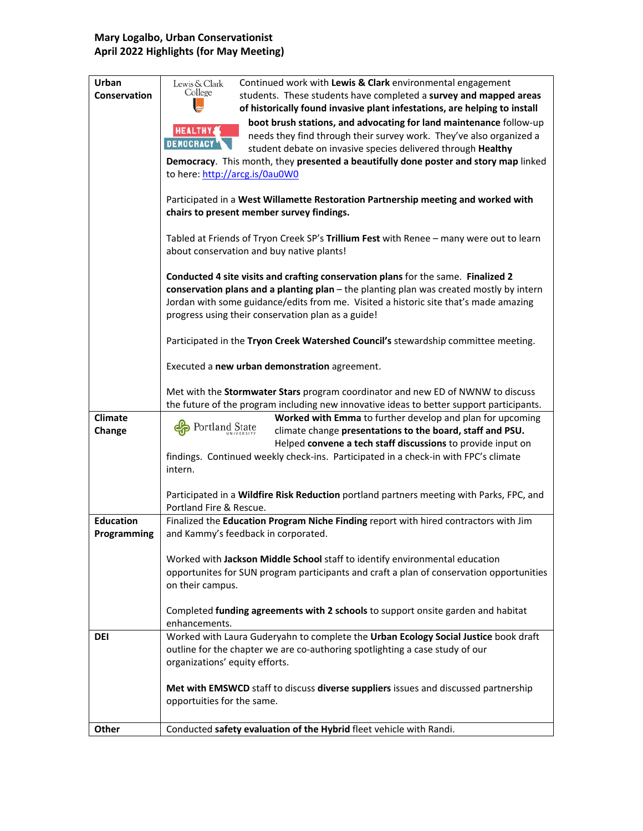### **Mary Logalbo, Urban Conservationist April 2022 Highlights (for May Meeting)**

| Urban<br>Conservation           | Continued work with Lewis & Clark environmental engagement<br>Lewis & Clark<br>College<br>students. These students have completed a survey and mapped areas                                                                                                                                                                                                               |
|---------------------------------|---------------------------------------------------------------------------------------------------------------------------------------------------------------------------------------------------------------------------------------------------------------------------------------------------------------------------------------------------------------------------|
|                                 | of historically found invasive plant infestations, are helping to install                                                                                                                                                                                                                                                                                                 |
|                                 | boot brush stations, and advocating for land maintenance follow-up<br><b>HEALTHY</b><br>needs they find through their survey work. They've also organized a<br><b>DEMOCRACY</b><br>student debate on invasive species delivered through Healthy<br>Democracy. This month, they presented a beautifully done poster and story map linked<br>to here: http://arcg.is/0au0W0 |
|                                 | Participated in a West Willamette Restoration Partnership meeting and worked with<br>chairs to present member survey findings.                                                                                                                                                                                                                                            |
|                                 | Tabled at Friends of Tryon Creek SP's Trillium Fest with Renee - many were out to learn<br>about conservation and buy native plants!                                                                                                                                                                                                                                      |
|                                 | Conducted 4 site visits and crafting conservation plans for the same. Finalized 2<br>conservation plans and a planting plan - the planting plan was created mostly by intern<br>Jordan with some guidance/edits from me. Visited a historic site that's made amazing<br>progress using their conservation plan as a guide!                                                |
|                                 | Participated in the Tryon Creek Watershed Council's stewardship committee meeting.                                                                                                                                                                                                                                                                                        |
|                                 | Executed a new urban demonstration agreement.                                                                                                                                                                                                                                                                                                                             |
|                                 | Met with the Stormwater Stars program coordinator and new ED of NWNW to discuss<br>the future of the program including new innovative ideas to better support participants.                                                                                                                                                                                               |
| <b>Climate</b><br>Change        | Worked with Emma to further develop and plan for upcoming<br>Portland State<br>climate change presentations to the board, staff and PSU.<br>Helped convene a tech staff discussions to provide input on<br>findings. Continued weekly check-ins. Participated in a check-in with FPC's climate                                                                            |
|                                 | intern.                                                                                                                                                                                                                                                                                                                                                                   |
|                                 | Participated in a Wildfire Risk Reduction portland partners meeting with Parks, FPC, and<br>Portland Fire & Rescue.                                                                                                                                                                                                                                                       |
| <b>Education</b><br>Programming | Finalized the Education Program Niche Finding report with hired contractors with Jim<br>and Kammy's feedback in corporated.                                                                                                                                                                                                                                               |
|                                 | Worked with Jackson Middle School staff to identify environmental education                                                                                                                                                                                                                                                                                               |
|                                 | opportunites for SUN program participants and craft a plan of conservation opportunities                                                                                                                                                                                                                                                                                  |
|                                 | on their campus.                                                                                                                                                                                                                                                                                                                                                          |
|                                 | Completed funding agreements with 2 schools to support onsite garden and habitat                                                                                                                                                                                                                                                                                          |
| <b>DEI</b>                      | enhancements.<br>Worked with Laura Guderyahn to complete the Urban Ecology Social Justice book draft                                                                                                                                                                                                                                                                      |
|                                 | outline for the chapter we are co-authoring spotlighting a case study of our<br>organizations' equity efforts.                                                                                                                                                                                                                                                            |
|                                 | Met with EMSWCD staff to discuss diverse suppliers issues and discussed partnership<br>opportuities for the same.                                                                                                                                                                                                                                                         |
| <b>Other</b>                    | Conducted safety evaluation of the Hybrid fleet vehicle with Randi.                                                                                                                                                                                                                                                                                                       |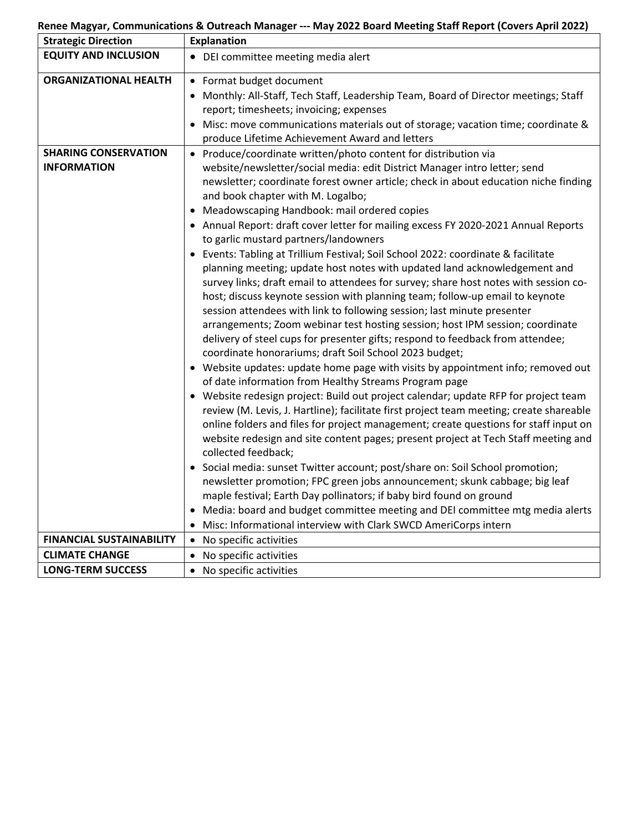# **Renee Magyar, Communications & Outreach Manager --- May 2022 Board Meeting Staff Report (Covers April 2022)**

| <b>Strategic Direction</b>                        | <b>Explanation</b>                                                                                                                                                                                                                                                                                                                                                                                                                                                                                                                                                                                                                                                                                                                                                                                                                                                                                                                                                                                                                                                                                                                                                                                                                                                                                                                                                                                                                                                                                                                                                                                                                                                                                                                                                                                                                                                                                                                                                                                                                  |
|---------------------------------------------------|-------------------------------------------------------------------------------------------------------------------------------------------------------------------------------------------------------------------------------------------------------------------------------------------------------------------------------------------------------------------------------------------------------------------------------------------------------------------------------------------------------------------------------------------------------------------------------------------------------------------------------------------------------------------------------------------------------------------------------------------------------------------------------------------------------------------------------------------------------------------------------------------------------------------------------------------------------------------------------------------------------------------------------------------------------------------------------------------------------------------------------------------------------------------------------------------------------------------------------------------------------------------------------------------------------------------------------------------------------------------------------------------------------------------------------------------------------------------------------------------------------------------------------------------------------------------------------------------------------------------------------------------------------------------------------------------------------------------------------------------------------------------------------------------------------------------------------------------------------------------------------------------------------------------------------------------------------------------------------------------------------------------------------------|
| <b>EQUITY AND INCLUSION</b>                       | • DEI committee meeting media alert                                                                                                                                                                                                                                                                                                                                                                                                                                                                                                                                                                                                                                                                                                                                                                                                                                                                                                                                                                                                                                                                                                                                                                                                                                                                                                                                                                                                                                                                                                                                                                                                                                                                                                                                                                                                                                                                                                                                                                                                 |
| <b>ORGANIZATIONAL HEALTH</b>                      | • Format budget document<br>Monthly: All-Staff, Tech Staff, Leadership Team, Board of Director meetings; Staff<br>report; timesheets; invoicing; expenses<br>Misc: move communications materials out of storage; vacation time; coordinate &<br>produce Lifetime Achievement Award and letters                                                                                                                                                                                                                                                                                                                                                                                                                                                                                                                                                                                                                                                                                                                                                                                                                                                                                                                                                                                                                                                                                                                                                                                                                                                                                                                                                                                                                                                                                                                                                                                                                                                                                                                                      |
| <b>SHARING CONSERVATION</b><br><b>INFORMATION</b> | • Produce/coordinate written/photo content for distribution via<br>website/newsletter/social media: edit District Manager intro letter; send<br>newsletter; coordinate forest owner article; check in about education niche finding<br>and book chapter with M. Logalbo;<br>Meadowscaping Handbook: mail ordered copies<br>• Annual Report: draft cover letter for mailing excess FY 2020-2021 Annual Reports<br>to garlic mustard partners/landowners<br>• Events: Tabling at Trillium Festival; Soil School 2022: coordinate & facilitate<br>planning meeting; update host notes with updated land acknowledgement and<br>survey links; draft email to attendees for survey; share host notes with session co-<br>host; discuss keynote session with planning team; follow-up email to keynote<br>session attendees with link to following session; last minute presenter<br>arrangements; Zoom webinar test hosting session; host IPM session; coordinate<br>delivery of steel cups for presenter gifts; respond to feedback from attendee;<br>coordinate honorariums; draft Soil School 2023 budget;<br>• Website updates: update home page with visits by appointment info; removed out<br>of date information from Healthy Streams Program page<br>Website redesign project: Build out project calendar; update RFP for project team<br>review (M. Levis, J. Hartline); facilitate first project team meeting; create shareable<br>online folders and files for project management; create questions for staff input on<br>website redesign and site content pages; present project at Tech Staff meeting and<br>collected feedback;<br>• Social media: sunset Twitter account; post/share on: Soil School promotion;<br>newsletter promotion; FPC green jobs announcement; skunk cabbage; big leaf<br>maple festival; Earth Day pollinators; if baby bird found on ground<br>Media: board and budget committee meeting and DEI committee mtg media alerts<br>Misc: Informational interview with Clark SWCD AmeriCorps intern |
| <b>FINANCIAL SUSTAINABILITY</b>                   | • No specific activities                                                                                                                                                                                                                                                                                                                                                                                                                                                                                                                                                                                                                                                                                                                                                                                                                                                                                                                                                                                                                                                                                                                                                                                                                                                                                                                                                                                                                                                                                                                                                                                                                                                                                                                                                                                                                                                                                                                                                                                                            |
| <b>CLIMATE CHANGE</b>                             | No specific activities                                                                                                                                                                                                                                                                                                                                                                                                                                                                                                                                                                                                                                                                                                                                                                                                                                                                                                                                                                                                                                                                                                                                                                                                                                                                                                                                                                                                                                                                                                                                                                                                                                                                                                                                                                                                                                                                                                                                                                                                              |
| <b>LONG-TERM SUCCESS</b>                          | • No specific activities                                                                                                                                                                                                                                                                                                                                                                                                                                                                                                                                                                                                                                                                                                                                                                                                                                                                                                                                                                                                                                                                                                                                                                                                                                                                                                                                                                                                                                                                                                                                                                                                                                                                                                                                                                                                                                                                                                                                                                                                            |